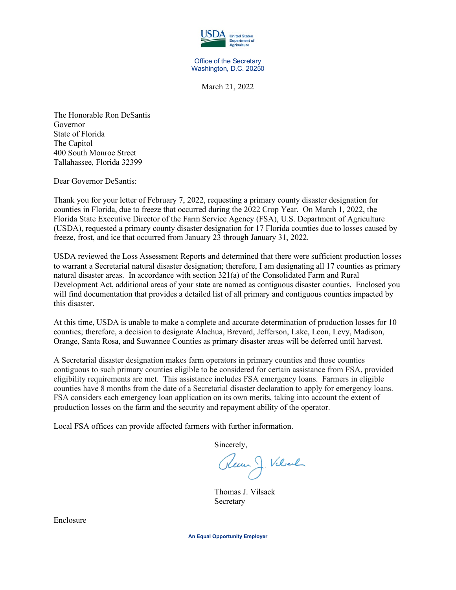

Office of the Secretary Washington, D.C. 20250

March 21, 2022

The Honorable Ron DeSantis Governor State of Florida The Capitol 400 South Monroe Street Tallahassee, Florida 32399

Dear Governor DeSantis:

Thank you for your letter of February 7, 2022, requesting a primary county disaster designation for counties in Florida, due to freeze that occurred during the 2022 Crop Year. On March 1, 2022, the Florida State Executive Director of the Farm Service Agency (FSA), U.S. Department of Agriculture (USDA), requested a primary county disaster designation for 17 Florida counties due to losses caused by freeze, frost, and ice that occurred from January 23 through January 31, 2022.

USDA reviewed the Loss Assessment Reports and determined that there were sufficient production losses to warrant a Secretarial natural disaster designation; therefore, I am designating all 17 counties as primary natural disaster areas. In accordance with section 321(a) of the Consolidated Farm and Rural Development Act, additional areas of your state are named as contiguous disaster counties. Enclosed you will find documentation that provides a detailed list of all primary and contiguous counties impacted by this disaster.

At this time, USDA is unable to make a complete and accurate determination of production losses for 10 counties; therefore, a decision to designate Alachua, Brevard, Jefferson, Lake, Leon, Levy, Madison, Orange, Santa Rosa, and Suwannee Counties as primary disaster areas will be deferred until harvest.

A Secretarial disaster designation makes farm operators in primary counties and those counties contiguous to such primary counties eligible to be considered for certain assistance from FSA, provided eligibility requirements are met. This assistance includes FSA emergency loans. Farmers in eligible counties have 8 months from the date of a Secretarial disaster declaration to apply for emergency loans. FSA considers each emergency loan application on its own merits, taking into account the extent of production losses on the farm and the security and repayment ability of the operator.

Local FSA offices can provide affected farmers with further information.

Sincerely,

Rem J. Velvel

Thomas J. Vilsack Secretary

Enclosure

**An Equal Opportunity Employer**